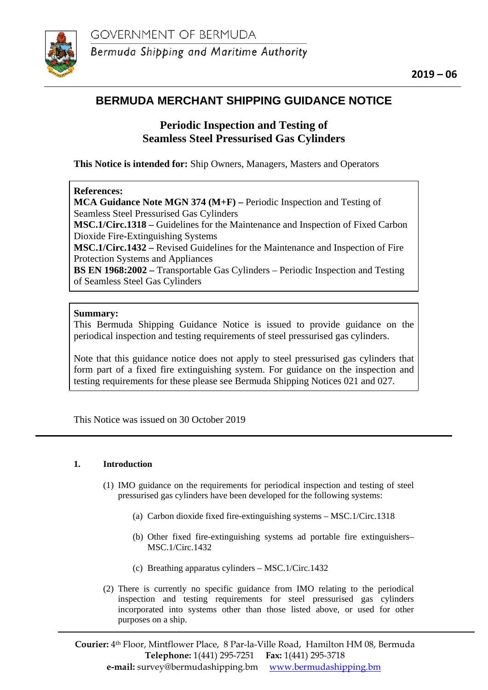

# **BERMUDA MERCHANT SHIPPING GUIDANCE NOTICE**

## **Periodic Inspection and Testing of Seamless Steel Pressurised Gas Cylinders**

**This Notice is intended for:** Ship Owners, Managers, Masters and Operators

## **References:**

**MCA Guidance Note MGN 374 (M+F) –** Periodic Inspection and Testing of Seamless Steel Pressurised Gas Cylinders

**MSC.1/Circ.1318 –** Guidelines for the Maintenance and Inspection of Fixed Carbon Dioxide Fire-Extinguishing Systems

**MSC.1/Circ.1432 –** Revised Guidelines for the Maintenance and Inspection of Fire Protection Systems and Appliances

**BS EN 1968:2002 –** Transportable Gas Cylinders – Periodic Inspection and Testing of Seamless Steel Gas Cylinders

## **Summary:**

This Bermuda Shipping Guidance Notice is issued to provide guidance on the periodical inspection and testing requirements of steel pressurised gas cylinders.

Note that this guidance notice does not apply to steel pressurised gas cylinders that form part of a fixed fire extinguishing system. For guidance on the inspection and testing requirements for these please see Bermuda Shipping Notices 021 and 027.

This Notice was issued on 30 October 2019

#### **1. Introduction**

- (1) IMO guidance on the requirements for periodical inspection and testing of steel pressurised gas cylinders have been developed for the following systems:
	- (a) Carbon dioxide fixed fire-extinguishing systems MSC.1/Circ.1318
	- (b) Other fixed fire-extinguishing systems ad portable fire extinguishers– MSC.1/Circ.1432
	- (c) Breathing apparatus cylinders MSC.1/Circ.1432
- (2) There is currently no specific guidance from IMO relating to the periodical inspection and testing requirements for steel pressurised gas cylinders incorporated into systems other than those listed above, or used for other purposes on a ship.

**Courier:** 4th Floor, Mintflower Place, 8 Par-la-Ville Road, Hamilton HM 08, Bermuda **Telephone:** 1(441) 295-7251 **Fax:** 1(441) 295-3718 **e-mail:** survey@bermudashipping.bm [www.bermudashipping.bm](http://www.bermudashipping.bm/)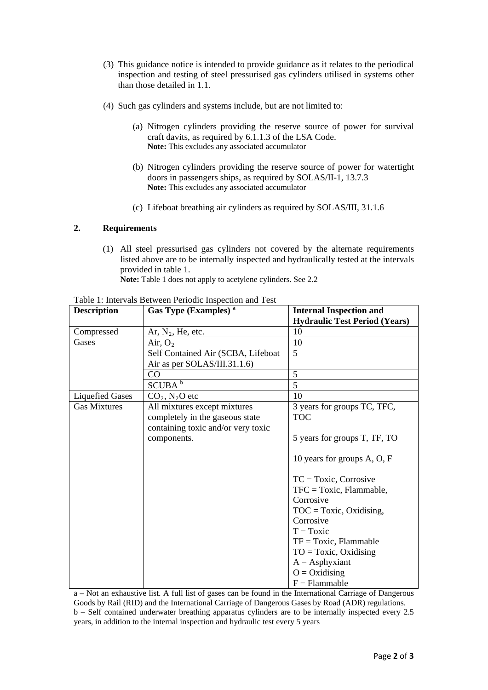- (3) This guidance notice is intended to provide guidance as it relates to the periodical inspection and testing of steel pressurised gas cylinders utilised in systems other than those detailed in 1.1.
- (4) Such gas cylinders and systems include, but are not limited to:
	- (a) Nitrogen cylinders providing the reserve source of power for survival craft davits, as required by 6.1.1.3 of the LSA Code. **Note:** This excludes any associated accumulator
	- (b) Nitrogen cylinders providing the reserve source of power for watertight doors in passengers ships, as required by SOLAS/II-1, 13.7.3 **Note:** This excludes any associated accumulator
	- (c) Lifeboat breathing air cylinders as required by SOLAS/III, 31.1.6

#### **2. Requirements**

(1) All steel pressurised gas cylinders not covered by the alternate requirements listed above are to be internally inspected and hydraulically tested at the intervals provided in table 1.

**Note:** Table 1 does not apply to acetylene cylinders. See 2.2

| <b>Description</b>     | Gas Type (Examples) <sup>a</sup>   | <b>Internal Inspection and</b>       |
|------------------------|------------------------------------|--------------------------------------|
|                        |                                    | <b>Hydraulic Test Period (Years)</b> |
| Compressed             | Ar, $N_2$ , He, etc.               | 10                                   |
| Gases                  | Air, $O_2$                         | 10                                   |
|                        | Self Contained Air (SCBA, Lifeboat | 5                                    |
|                        | Air as per SOLAS/III.31.1.6)       |                                      |
|                        | CO                                 | 5                                    |
|                        | SCUBA <sup>b</sup>                 | 5                                    |
| <b>Liquefied Gases</b> | $CO2$ , N <sub>2</sub> O etc       | 10                                   |
| <b>Gas Mixtures</b>    | All mixtures except mixtures       | 3 years for groups TC, TFC,          |
|                        | completely in the gaseous state    | <b>TOC</b>                           |
|                        | containing toxic and/or very toxic |                                      |
|                        | components.                        | 5 years for groups T, TF, TO         |
|                        |                                    |                                      |
|                        |                                    | 10 years for groups A, O, F          |
|                        |                                    |                                      |
|                        |                                    | $TC = Toxic, Corrosive$              |
|                        |                                    | $TFC = Toxic, Flammable,$            |
|                        |                                    | Corrosive                            |
|                        |                                    | $TOC = Toxic, Oxidising,$            |
|                        |                                    | Corrosive                            |
|                        |                                    | $T = Toxic$                          |
|                        |                                    | $TF = Toxic, Flammable$              |
|                        |                                    | $TO = Toxic, Oxidising$              |
|                        |                                    | $A =$ Asphyxiant                     |
|                        |                                    | $O = Oxidising$                      |
|                        |                                    | $F =$ Flammable                      |

Table 1: Intervals Between Periodic Inspection and Test

a – Not an exhaustive list. A full list of gases can be found in the International Carriage of Dangerous Goods by Rail (RID) and the International Carriage of Dangerous Gases by Road (ADR) regulations. b – Self contained underwater breathing apparatus cylinders are to be internally inspected every 2.5 years, in addition to the internal inspection and hydraulic test every 5 years